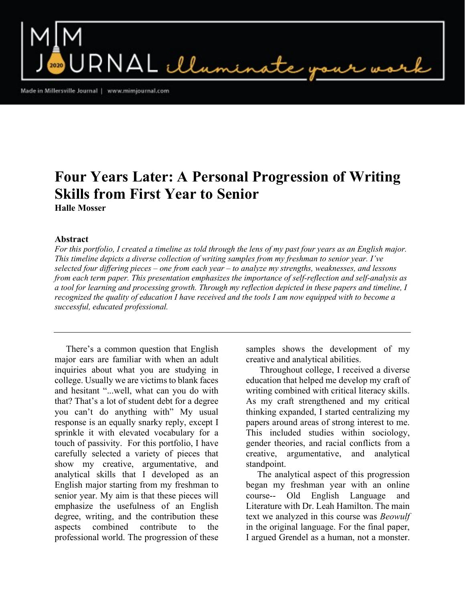$\mathsf{RNAL}\ \mathcal{U}$ umi

Made in Millersville Journal | www.mimjournal.com

## Four Years Later: A Personal Progression of Writing Skills from First Year to Senior Halle Mosser

## Abstract

For this portfolio, I created a timeline as told through the lens of my past four years as an English major. This timeline depicts a diverse collection of writing samples from my freshman to senior year. I've selected four differing pieces – one from each year – to analyze my strengths, weaknesses, and lessons from each term paper. This presentation emphasizes the importance of self-reflection and self-analysis as a tool for learning and processing growth. Through my reflection depicted in these papers and timeline, I recognized the quality of education I have received and the tools I am now equipped with to become a successful, educated professional.

 There's a common question that English major ears are familiar with when an adult inquiries about what you are studying in college. Usually we are victims to blank faces and hesitant "...well, what can you do with that? That's a lot of student debt for a degree you can't do anything with" My usual response is an equally snarky reply, except I sprinkle it with elevated vocabulary for a touch of passivity. For this portfolio, I have carefully selected a variety of pieces that show my creative, argumentative, and analytical skills that I developed as an English major starting from my freshman to senior year. My aim is that these pieces will emphasize the usefulness of an English degree, writing, and the contribution these aspects combined contribute to the professional world. The progression of these

samples shows the development of my creative and analytical abilities.

 Throughout college, I received a diverse education that helped me develop my craft of writing combined with critical literacy skills. As my craft strengthened and my critical thinking expanded, I started centralizing my papers around areas of strong interest to me. This included studies within sociology, gender theories, and racial conflicts from a creative, argumentative, and analytical standpoint.

 The analytical aspect of this progression began my freshman year with an online course-- Old English Language and Literature with Dr. Leah Hamilton. The main text we analyzed in this course was Beowulf in the original language. For the final paper, I argued Grendel as a human, not a monster.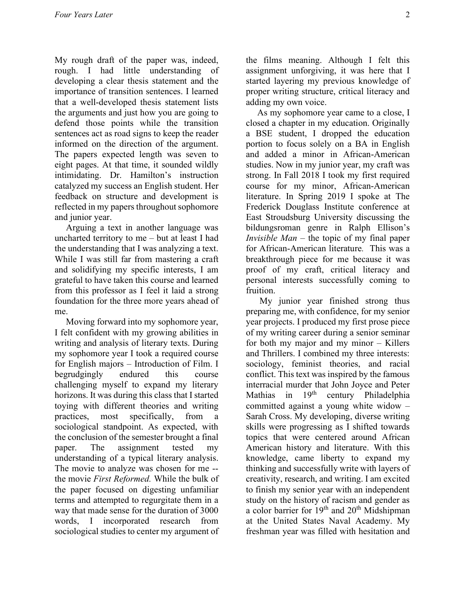My rough draft of the paper was, indeed, rough. I had little understanding of developing a clear thesis statement and the importance of transition sentences. I learned that a well-developed thesis statement lists the arguments and just how you are going to defend those points while the transition sentences act as road signs to keep the reader informed on the direction of the argument. The papers expected length was seven to eight pages. At that time, it sounded wildly intimidating. Dr. Hamilton's instruction catalyzed my success an English student. Her feedback on structure and development is reflected in my papers throughout sophomore and junior year.

 Arguing a text in another language was uncharted territory to me – but at least I had the understanding that I was analyzing a text. While I was still far from mastering a craft and solidifying my specific interests, I am grateful to have taken this course and learned from this professor as I feel it laid a strong foundation for the three more years ahead of me.

 Moving forward into my sophomore year, I felt confident with my growing abilities in writing and analysis of literary texts. During my sophomore year I took a required course for English majors – Introduction of Film. I begrudgingly endured this course challenging myself to expand my literary horizons. It was during this class that I started toying with different theories and writing practices, most specifically, from a sociological standpoint. As expected, with the conclusion of the semester brought a final paper. The assignment tested my understanding of a typical literary analysis. The movie to analyze was chosen for me - the movie First Reformed. While the bulk of the paper focused on digesting unfamiliar terms and attempted to regurgitate them in a way that made sense for the duration of 3000 words, I incorporated research from sociological studies to center my argument of

the films meaning. Although I felt this assignment unforgiving, it was here that I started layering my previous knowledge of proper writing structure, critical literacy and adding my own voice.

 As my sophomore year came to a close, I closed a chapter in my education. Originally a BSE student, I dropped the education portion to focus solely on a BA in English and added a minor in African-American studies. Now in my junior year, my craft was strong. In Fall 2018 I took my first required course for my minor, African-American literature. In Spring 2019 I spoke at The Frederick Douglass Institute conference at East Stroudsburg University discussing the bildungsroman genre in Ralph Ellison's *Invisible Man* – the topic of my final paper for African-American literature. This was a breakthrough piece for me because it was proof of my craft, critical literacy and personal interests successfully coming to fruition.

 My junior year finished strong thus preparing me, with confidence, for my senior year projects. I produced my first prose piece of my writing career during a senior seminar for both my major and my minor – Killers and Thrillers. I combined my three interests: sociology, feminist theories, and racial conflict. This text was inspired by the famous interracial murder that John Joyce and Peter Mathias in  $19<sup>th</sup>$  century Philadelphia committed against a young white widow – Sarah Cross. My developing, diverse writing skills were progressing as I shifted towards topics that were centered around African American history and literature. With this knowledge, came liberty to expand my thinking and successfully write with layers of creativity, research, and writing. I am excited to finish my senior year with an independent study on the history of racism and gender as a color barrier for  $19<sup>th</sup>$  and  $20<sup>th</sup>$  Midshipman at the United States Naval Academy. My freshman year was filled with hesitation and